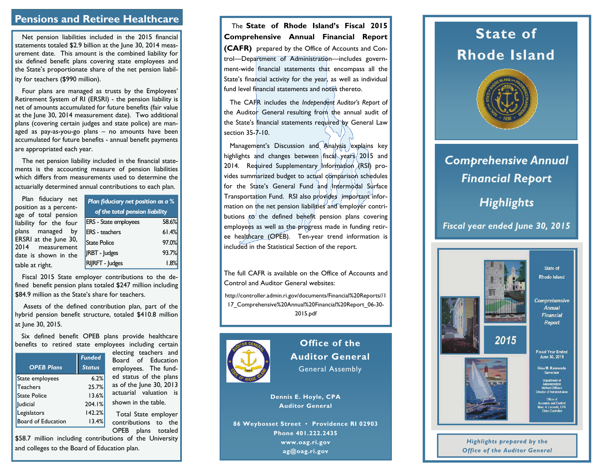# **Pensions and Retiree Healthcare**

Net pension liabilities included in the 2015 financial statements totaled \$2.9 billion at the June 30, 2014 measurement date. This amount is the combined liability for six defined benefit plans covering state employees and the State's proportionate share of the net pension liability for teachers (\$990 million).

Four plans are managed as trusts by the Employees' Retirement System of RI (ERSRI) - the pension liability is net of amounts accumulated for future benefits (fair value at the June 30, 2014 measurement date). Two additional plans (covering certain judges and state police) are managed as pay-as-you-go plans – no amounts have been accumulated for future benefits - annual benefit payments are appropriated each year.

The net pension liability included in the financial statements is the accounting measure of pension liabilities which differs from measurements used to determine the actuarially determined annual contributions to each plan.

| Plan fiduciary net<br>position as a percent-<br>age of total pension | <b>Plan fiduciary net position as a %</b><br>of the total pension liability |       |  |  |  |
|----------------------------------------------------------------------|-----------------------------------------------------------------------------|-------|--|--|--|
| liability for the four                                               | <b>ERS</b> - State employees                                                | 58.6% |  |  |  |
| plans managed by                                                     | <b>ERS</b> - teachers                                                       | 61.4% |  |  |  |
| ERSRI at the June 30,<br>2014 measurement                            | <b>State Police</b>                                                         | 97.0% |  |  |  |
| date is shown in the                                                 | <b>JRBT</b> - Judges                                                        | 93.7% |  |  |  |
| table at right.                                                      | RIJRFT - Judges                                                             | 1.8%  |  |  |  |

Fiscal 2015 State employer contributions to the defined benefit pension plans totaled \$247 million including \$84.9 million as the State's share for teachers.

 Assets of the defined contribution plan, part of the hybrid pension benefit structure, totaled \$410.8 million at June 30, 2015.

Six defined benefit OPEB plans provide healthcare benefits to retired state employees including certain

|                     | <b>Funded</b> |
|---------------------|---------------|
| <b>OPEB Plans</b>   | <b>Status</b> |
| State employees     | 6.2%          |
| <b>Teachers</b>     | 25.7%         |
| <b>State Police</b> | 13.6%         |
| ludicial            | 204.1%        |
| Legislators         | 142.2%        |
| Board of Education  | 13.4%         |

electing teachers and Board of Education employees. The funded status of the plans as of the June 30, 2013 actuarial valuation is shown in the table.

 Total State employer contributions to the OPEB plans totaled

\$58.7 million including contributions of the University and colleges to the Board of Education plan.

 The **State of Rhode Island's Fiscal 2015 Comprehensive Annual Financial Report (CAFR)** prepared by the Office of Accounts and Control—Department of Administration—includes government-wide financial statements that encompass all the State's financial activity for the year, as well as individual fund level financial statements and notes thereto.

 The CAFR includes the *Independent Auditor's Report* of the Auditor General resulting from the annual audit of the State's financial statements required by General Law section 35-7-10.

Management's Discussion and Analysis explains key highlights and changes between fiscal years 2015 and 2014. Required Supplementary Information  $(X|S_1)$  provides summarized budget to actual comparison schedules for the State's General Fund and Intermodal Surface Transportation Fund. RSI also provides important information on the net pension liabilities and employer contributions  $\bar{f}$  the defined benefit pension plans covering employees as well as the progress made in funding retiree healthcare (OPEB). Ten-year trend information is included in the Statistical Section of the report.

The full CAFR is available on the Office of Accounts and Control and Auditor General websites:

http://controller.admin.ri.gov/documents/Financial%20Reports//1 17\_Comprehensive%20Annual%20Financial%20Report\_06-30- 2015.pdf



**Office of the Auditor General** General Assembly

**Dennis E. Hoyle, CPA Auditor General** 

**86 Weybosset Street ▪ Providence RI 02903 Phone 401.222.2435 www.oag.ri.gov ag@oag.ri.gov** 

# **State of Rhode Island**



# *Comprehensive Annual Financial Report*

# *Highlights*

*Fiscal year ended June 30, 2015*